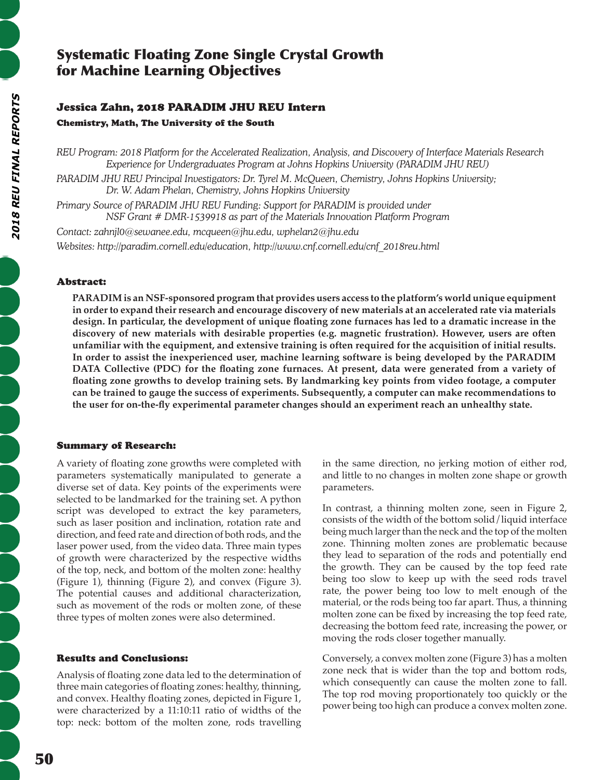# Systematic Floating Zone Single Crystal Growth for Machine Learning Objectives

## Jessica Zahn, 2018 PARADIM JHU REU Intern

Chemistry, Math, The University of the South

*REU Program: 2018 Platform for the Accelerated Realization, Analysis, and Discovery of Interface Materials Research Experience for Undergraduates Program at Johns Hopkins University (PARADIM JHU REU)*

*PARADIM JHU REU Principal Investigators: Dr. Tyrel M. McQueen, Chemistry, Johns Hopkins University; Dr. W. Adam Phelan, Chemistry, Johns Hopkins University*

*Primary Source of PARADIM JHU REU Funding: Support for PARADIM is provided under NSF Grant # DMR-1539918 as part of the Materials Innovation Platform Program*

*Contact: zahnjl0@sewanee.edu, mcqueen@jhu.edu, wphelan2@jhu.edu*

*Websites: http://paradim.cornell.edu/education, http://www.cnf.cornell.edu/cnf\_2018reu.html*

## Abstract:

**PARADIM is an NSF-sponsored program that provides users access to the platform's world unique equipment in order to expand their research and encourage discovery of new materials at an accelerated rate via materials design. In particular, the development of unique floating zone furnaces has led to a dramatic increase in the discovery of new materials with desirable properties (e.g. magnetic frustration). However, users are often unfamiliar with the equipment, and extensive training is often required for the acquisition of initial results. In order to assist the inexperienced user, machine learning software is being developed by the PARADIM DATA Collective (PDC) for the floating zone furnaces. At present, data were generated from a variety of floating zone growths to develop training sets. By landmarking key points from video footage, a computer can be trained to gauge the success of experiments. Subsequently, a computer can make recommendations to the user for on-the-fly experimental parameter changes should an experiment reach an unhealthy state.**

### Summary of Research:

A variety of floating zone growths were completed with parameters systematically manipulated to generate a diverse set of data. Key points of the experiments were selected to be landmarked for the training set. A python script was developed to extract the key parameters, such as laser position and inclination, rotation rate and direction, and feed rate and direction of both rods, and the laser power used, from the video data. Three main types of growth were characterized by the respective widths of the top, neck, and bottom of the molten zone: healthy (Figure 1), thinning (Figure 2), and convex (Figure 3). The potential causes and additional characterization, such as movement of the rods or molten zone, of these three types of molten zones were also determined.

### Results and Conclusions:

Analysis of floating zone data led to the determination of three main categories of floating zones: healthy, thinning, and convex. Healthy floating zones, depicted in Figure 1, were characterized by a 11:10:11 ratio of widths of the top: neck: bottom of the molten zone, rods travelling in the same direction, no jerking motion of either rod, and little to no changes in molten zone shape or growth parameters.

In contrast, a thinning molten zone, seen in Figure 2, consists of the width of the bottom solid/liquid interface being much larger than the neck and the top of the molten zone. Thinning molten zones are problematic because they lead to separation of the rods and potentially end the growth. They can be caused by the top feed rate being too slow to keep up with the seed rods travel rate, the power being too low to melt enough of the material, or the rods being too far apart. Thus, a thinning molten zone can be fixed by increasing the top feed rate, decreasing the bottom feed rate, increasing the power, or moving the rods closer together manually.

Conversely, a convex molten zone (Figure 3) has a molten zone neck that is wider than the top and bottom rods, which consequently can cause the molten zone to fall. The top rod moving proportionately too quickly or the power being too high can produce a convex molten zone.